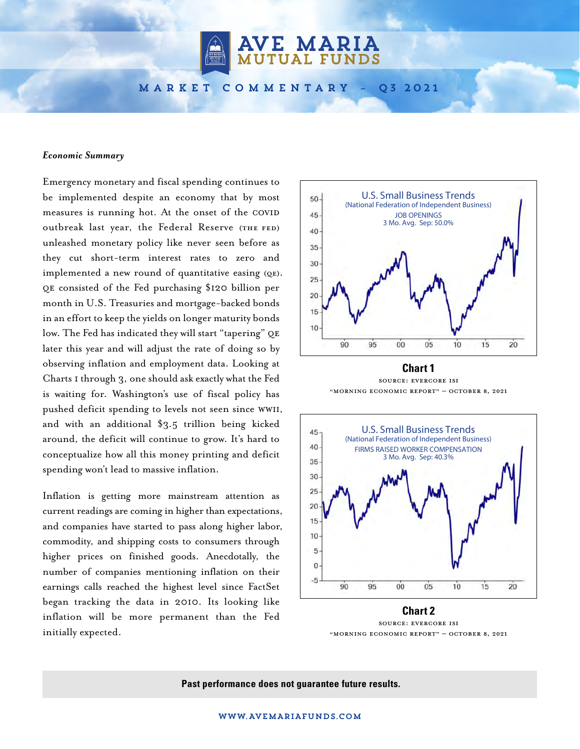**AVE MARIA**<br>MUTUAL FUNDS

market commentary – Q3 2021

## *Economic Summary*

Emergency monetary and fiscal spending continues to be implemented despite an economy that by most measures is running hot. At the onset of the COVID outbreak last year, the Federal Reserve (THE FED) unleashed monetary policy like never seen before as they cut short-term interest rates to zero and implemented a new round of quantitative easing (QE). QE consisted of the Fed purchasing \$120 billion per month in U.S. Treasuries and mortgage-backed bonds in an effort to keep the yields on longer maturity bonds low. The Fed has indicated they will start "tapering" QE later this year and will adjust the rate of doing so by observing inflation and employment data. Looking at Charts 1 through 3, one should ask exactly what the Fed is waiting for. Washington's use of fiscal policy has pushed deficit spending to levels not seen since WWII, and with an additional \$3.5 trillion being kicked around, the deficit will continue to grow. It's hard to conceptualize how all this money printing and deficit spending won't lead to massive inflation.

Inflation is getting more mainstream attention as current readings are coming in higher than expectations, and companies have started to pass along higher labor, commodity, and shipping costs to consumers through higher prices on finished goods. Anecdotally, the number of companies mentioning inflation on their earnings calls reached the highest level since FactSet began tracking the data in 2010. Its looking like inflation will be more permanent than the Fed initially expected.



**Chart 1** Source: Evercore ISI "Morning Economic Report" – October 8, 2021



**Chart 2** Source: Evercore ISI "Morning Economic Report" – October 8, 2021

**Past performance does not guarantee future results.**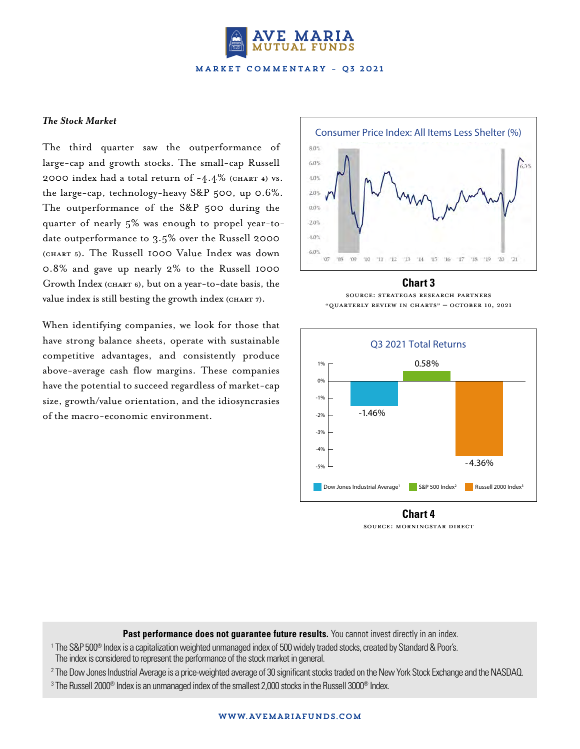

## *The Stock Market*

The third quarter saw the outperformance of large-cap and growth stocks. The small-cap Russell 2000 index had a total return of  $-4.4\%$  (CHART 4) vs. the large-cap, technology-heavy S&P 500, up 0.6%. The outperformance of the S&P 500 during the quarter of nearly 5% was enough to propel year-todate outperformance to 3.5% over the Russell 2000 (Chart 5). The Russell 1000 Value Index was down 0.8% and gave up nearly 2% to the Russell 1000 Growth Index (Chart 6), but on a year-to-date basis, the value index is still besting the growth index (CHART 7).

When identifying companies, we look for those that have strong balance sheets, operate with sustainable competitive advantages, and consistently produce above-average cash flow margins. These companies have the potential to succeed regardless of market-cap size, growth/value orientation, and the idiosyncrasies of the macro-economic environment.



**Chart 3** Source: Strategas Research Partners "Quarterly Review in Charts" – October 10, 2021



**Chart 4** Source: Morningstar Direct

Past performance does not guarantee future results. You cannot invest directly in an index.

 $^1$  The S&P 500® Index is a capitalization weighted unmanaged index of 500 widely traded stocks, created by Standard & Poor's. The index is considered to represent the performance of the stock market in general.

2 The Dow Jones Industrial Average is a price-weighted average of 30 significant stocks traded on the New York Stock Exchange and the NASDAQ.  $^{\rm 3}$  The Russell 2000® Index is an unmanaged index of the smallest 2,000 stocks in the Russell 3000® Index.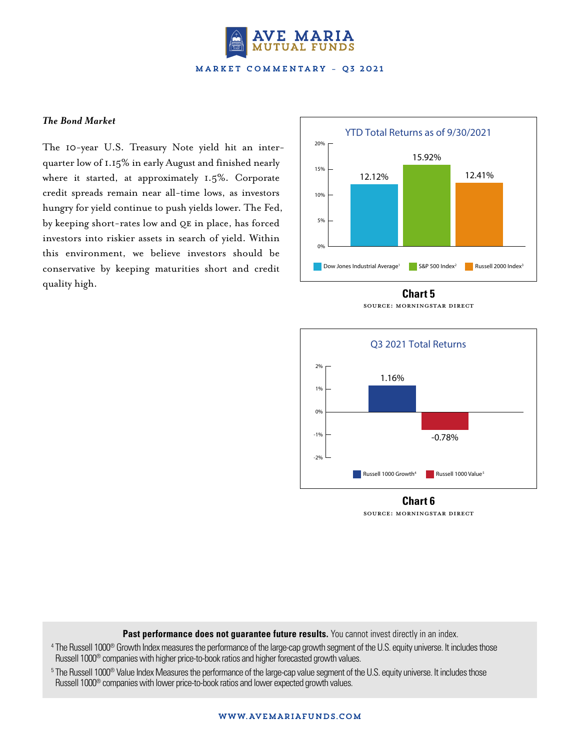

## *The Bond Market*

The 10-year U.S. Treasury Note yield hit an interquarter low of 1.15% in early August and finished nearly where it started, at approximately 1.5%. Corporate credit spreads remain near all-time lows, as investors hungry for yield continue to push yields lower. The Fed, by keeping short-rates low and QE in place, has forced investors into riskier assets in search of yield. Within this environment, we believe investors should be conservative by keeping maturities short and credit quality high.



**Chart 5** 

Source: Morningstar Direct



**Chart 6** Source: Morningstar Direct

Past performance does not guarantee future results. You cannot invest directly in an index.

4 The Russell 1000® Growth Index measures the performance of the large-cap growth segment of the U.S. equity universe. It includes those Russell 1000® companies with higher price-to-book ratios and higher forecasted growth values.

5 The Russell 1000® Value Index Measures the performance of the large-cap value segment of the U.S. equity universe. It includes those Russell 1000® companies with lower price-to-book ratios and lower expected growth values.